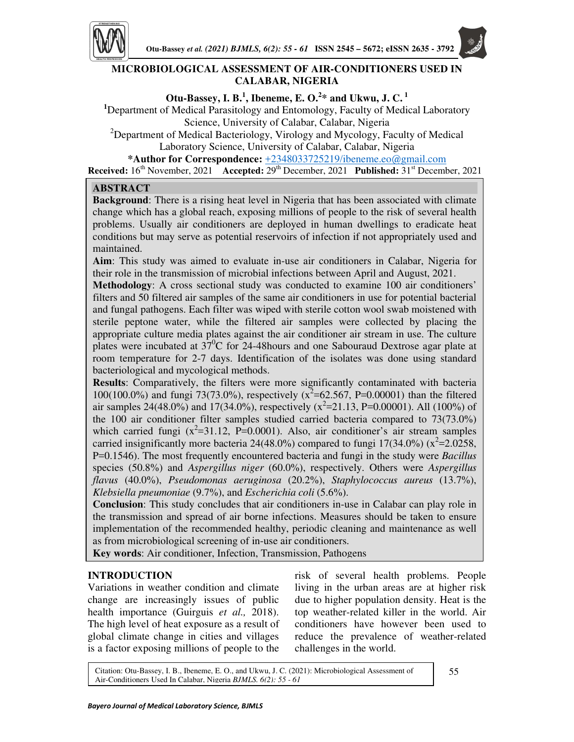

# **MICROBIOLOGICAL ASSESSMENT OF AIR-CONDITIONERS USED IN CALABAR, NIGERIA**

# **Otu-Bassey, I. B.<sup>1</sup> , Ibeneme, E. O.<sup>2</sup> \* and Ukwu, J. C.<sup>1</sup>**

**<sup>1</sup>**Department of Medical Parasitology and Entomology, Faculty of Medical Laboratory Science, University of Calabar, Calabar, Nigeria

<sup>2</sup>Department of Medical Bacteriology, Virology and Mycology, Faculty of Medical Laboratory Science, University of Calabar, Calabar, Nigeria

**\*Author for Correspondence:** +2348033725219/ibeneme.eo@gmail.com

**Received:**  $16^{th}$  November, 2021 **Accepted:**  $29^{th}$  December, 2021 **Published:**  $31^{st}$  December, 2021

# **ABSTRACT**

**Background**: There is a rising heat level in Nigeria that has been associated with climate change which has a global reach, exposing millions of people to the risk of several health problems. Usually air conditioners are deployed in human dwellings to eradicate heat conditions but may serve as potential reservoirs of infection if not appropriately used and maintained.

**Aim**: This study was aimed to evaluate in-use air conditioners in Calabar, Nigeria for their role in the transmission of microbial infections between April and August, 2021.

**Methodology**: A cross sectional study was conducted to examine 100 air conditioners' filters and 50 filtered air samples of the same air conditioners in use for potential bacterial and fungal pathogens. Each filter was wiped with sterile cotton wool swab moistened with sterile peptone water, while the filtered air samples were collected by placing the appropriate culture media plates against the air conditioner air stream in use. The culture plates were incubated at  $37^{\circ}$ C for 24-48hours and one Sabouraud Dextrose agar plate at room temperature for 2-7 days. Identification of the isolates was done using standard bacteriological and mycological methods.

**Results**: Comparatively, the filters were more significantly contaminated with bacteria 100(100.0%) and fungi 73(73.0%), respectively ( $x^2$ =62.567, P=0.00001) than the filtered air samples 24(48.0%) and 17(34.0%), respectively ( $x^2$ =21.13, P=0.00001). All (100%) of the 100 air conditioner filter samples studied carried bacteria compared to 73(73.0%) which carried fungi  $(x^2=31.12, P=0.0001)$ . Also, air conditioner's air stream samples carried insignificantly more bacteria 24(48.0%) compared to fungi 17(34.0%) ( $x^2$ =2.0258, P=0.1546). The most frequently encountered bacteria and fungi in the study were *Bacillus*  species (50.8%) and *Aspergillus niger* (60.0%), respectively. Others were *Aspergillus flavus* (40.0%), *Pseudomonas aeruginosa* (20.2%), *Staphylococcus aureus* (13.7%), *Klebsiella pneumoniae* (9.7%), and *Escherichia coli* (5.6%).

**Conclusion**: This study concludes that air conditioners in-use in Calabar can play role in the transmission and spread of air borne infections. Measures should be taken to ensure implementation of the recommended healthy, periodic cleaning and maintenance as well as from microbiological screening of in-use air conditioners.

**Key words**: Air conditioner, Infection, Transmission, Pathogens

# **INTRODUCTION**

г<br>Г

Variations in weather condition and climate change are increasingly issues of public health importance (Guirguis *et al.,* 2018). The high level of heat exposure as a result of global climate change in cities and villages is a factor exposing millions of people to the

risk of several health problems. People living in the urban areas are at higher risk due to higher population density. Heat is the top weather-related killer in the world. Air conditioners have however been used to reduce the prevalence of weather-related challenges in the world.

Citation: Otu-Bassey, I. B., Ibeneme, E. O., and Ukwu, J. C. (2021): Microbiological Assessment of Air-Conditioners Used In Calabar, Nigeria *BJMLS. 6(2): 55 - 61*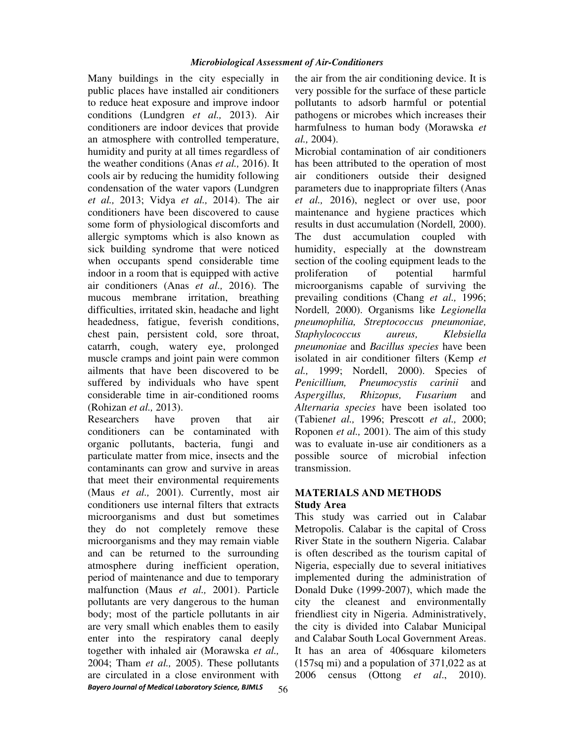Many buildings in the city especially in public places have installed air conditioners to reduce heat exposure and improve indoor conditions (Lundgren *et al.,* 2013). Air conditioners are indoor devices that provide an atmosphere with controlled temperature, humidity and purity at all times regardless of the weather conditions (Anas *et al.,* 2016). It cools air by reducing the humidity following condensation of the water vapors (Lundgren *et al.,* 2013; Vidya *et al.,* 2014). The air conditioners have been discovered to cause some form of physiological discomforts and allergic symptoms which is also known as sick building syndrome that were noticed when occupants spend considerable time indoor in a room that is equipped with active air conditioners (Anas *et al.,* 2016). The mucous membrane irritation, breathing difficulties, irritated skin, headache and light headedness, fatigue, feverish conditions, chest pain, persistent cold, sore throat, catarrh, cough, watery eye, prolonged muscle cramps and joint pain were common ailments that have been discovered to be suffered by individuals who have spent considerable time in air-conditioned rooms (Rohizan *et al.,* 2013).

*Bayero Journal of Medical Laboratory Science, BJMLS*  Researchers have proven that air conditioners can be contaminated with organic pollutants, bacteria, fungi and particulate matter from mice, insects and the contaminants can grow and survive in areas that meet their environmental requirements (Maus *et al.,* 2001). Currently, most air conditioners use internal filters that extracts microorganisms and dust but sometimes they do not completely remove these microorganisms and they may remain viable and can be returned to the surrounding atmosphere during inefficient operation, period of maintenance and due to temporary malfunction (Maus *et al.,* 2001). Particle pollutants are very dangerous to the human body; most of the particle pollutants in air are very small which enables them to easily enter into the respiratory canal deeply together with inhaled air (Morawska *et al.,* 2004; Tham *et al.,* 2005). These pollutants are circulated in a close environment with

the air from the air conditioning device. It is very possible for the surface of these particle pollutants to adsorb harmful or potential pathogens or microbes which increases their harmfulness to human body (Morawska *et al.,* 2004).

Microbial contamination of air conditioners has been attributed to the operation of most air conditioners outside their designed parameters due to inappropriate filters (Anas *et al.,* 2016), neglect or over use, poor maintenance and hygiene practices which results in dust accumulation (Nordell*,* 2000). The dust accumulation coupled with humidity, especially at the downstream section of the cooling equipment leads to the proliferation of potential harmful microorganisms capable of surviving the prevailing conditions (Chang *et al.,* 1996; Nordell*,* 2000). Organisms like *Legionella pneumophilia, Streptococcus pneumoniae, Staphylococcus aureus, Klebsiella pneumoniae* and *Bacillus species* have been isolated in air conditioner filters (Kemp *et al.,* 1999; Nordell, 2000). Species of *Penicillium, Pneumocystis carinii* and *Aspergillus, Rhizopus, Fusarium* and *Alternaria species* have been isolated too (Tabien*et al.,* 1996; Prescott *et al.,* 2000; Roponen *et al.,* 2001). The aim of this study was to evaluate in-use air conditioners as a possible source of microbial infection transmission.

# **MATERIALS AND METHODS**

# **Study Area**

This study was carried out in Calabar Metropolis. Calabar is the capital of Cross River State in the southern Nigeria. Calabar is often described as the tourism capital of Nigeria, especially due to several initiatives implemented during the administration of Donald Duke (1999-2007), which made the city the cleanest and environmentally friendliest city in Nigeria. Administratively, the city is divided into Calabar Municipal and Calabar South Local Government Areas. It has an area of 406square kilometers (157sq mi) and a population of 371,022 as at 2006 census (Ottong *et al*., 2010).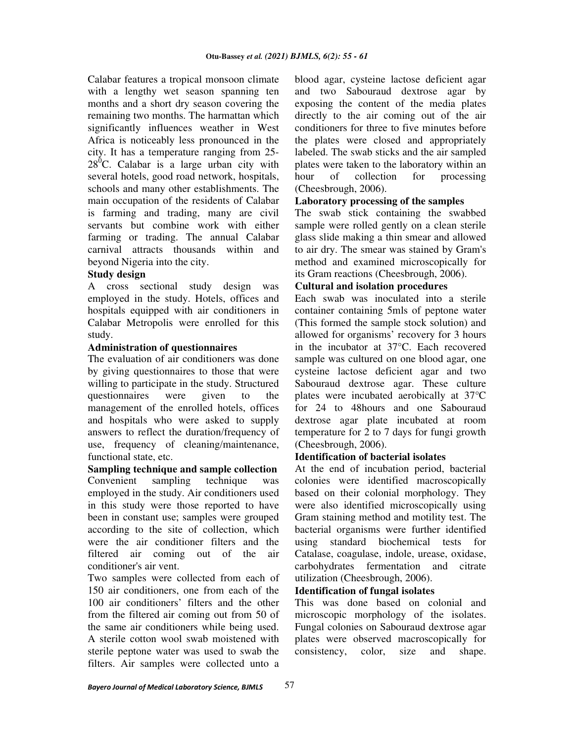Calabar features a tropical monsoon climate with a lengthy wet season spanning ten months and a short dry season covering the remaining two months. The harmattan which significantly influences weather in West Africa is noticeably less pronounced in the city. It has a temperature ranging from 25-  $28^{\circ}$ C. Calabar is a large urban city with several hotels, good road network, hospitals, schools and many other establishments. The main occupation of the residents of Calabar is farming and trading, many are civil servants but combine work with either farming or trading. The annual Calabar carnival attracts thousands within and beyond Nigeria into the city.

## **Study design**

A cross sectional study design was employed in the study. Hotels, offices and hospitals equipped with air conditioners in Calabar Metropolis were enrolled for this study.

# **Administration of questionnaires**

The evaluation of air conditioners was done by giving questionnaires to those that were willing to participate in the study. Structured questionnaires were given to the management of the enrolled hotels, offices and hospitals who were asked to supply answers to reflect the duration/frequency of use, frequency of cleaning/maintenance, functional state, etc.

**Sampling technique and sample collection**  Convenient sampling technique was employed in the study. Air conditioners used in this study were those reported to have been in constant use; samples were grouped according to the site of collection, which were the air conditioner filters and the filtered air coming out of the air conditioner's air vent.

Two samples were collected from each of 150 air conditioners, one from each of the 100 air conditioners' filters and the other from the filtered air coming out from 50 of the same air conditioners while being used. A sterile cotton wool swab moistened with sterile peptone water was used to swab the filters. Air samples were collected unto a

blood agar, cysteine lactose deficient agar and two Sabouraud dextrose agar by exposing the content of the media plates directly to the air coming out of the air conditioners for three to five minutes before the plates were closed and appropriately labeled. The swab sticks and the air sampled plates were taken to the laboratory within an hour of collection for processing (Cheesbrough, 2006).

## **Laboratory processing of the samples**

The swab stick containing the swabbed sample were rolled gently on a clean sterile glass slide making a thin smear and allowed to air dry. The smear was stained by Gram's method and examined microscopically for its Gram reactions (Cheesbrough, 2006).

## **Cultural and isolation procedures**

Each swab was inoculated into a sterile container containing 5mls of peptone water (This formed the sample stock solution) and allowed for organisms' recovery for 3 hours in the incubator at 37°C. Each recovered sample was cultured on one blood agar, one cysteine lactose deficient agar and two Sabouraud dextrose agar. These culture plates were incubated aerobically at 37°C for 24 to 48hours and one Sabouraud dextrose agar plate incubated at room temperature for 2 to 7 days for fungi growth (Cheesbrough, 2006).

## **Identification of bacterial isolates**

At the end of incubation period, bacterial colonies were identified macroscopically based on their colonial morphology. They were also identified microscopically using Gram staining method and motility test. The bacterial organisms were further identified using standard biochemical tests for Catalase, coagulase, indole, urease, oxidase, carbohydrates fermentation and citrate utilization (Cheesbrough, 2006).

#### **Identification of fungal isolates**

This was done based on colonial and microscopic morphology of the isolates. Fungal colonies on Sabouraud dextrose agar plates were observed macroscopically for consistency, color, size and shape.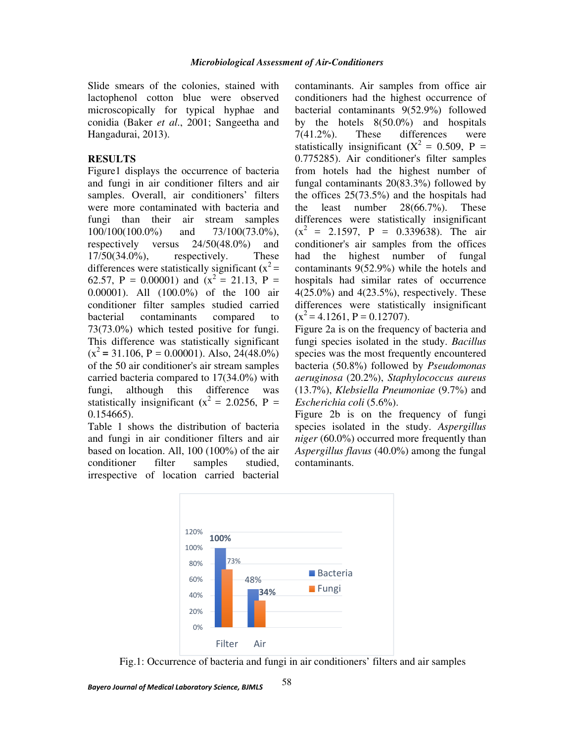Slide smears of the colonies, stained with lactophenol cotton blue were observed microscopically for typical hyphae and conidia (Baker *et al*., 2001; Sangeetha and Hangadurai, 2013).

## **RESULTS**

Figure1 displays the occurrence of bacteria and fungi in air conditioner filters and air samples. Overall, air conditioners' filters were more contaminated with bacteria and fungi than their air stream samples 100/100(100.0%) and 73/100(73.0%), respectively versus 24/50(48.0%) and  $17/50(34.0\%)$ , respectively. These differences were statistically significant  $(x^2)$  = 62.57, P = 0.00001) and  $(x^2 = 21.13, P =$ 0.00001). All (100.0%) of the 100 air conditioner filter samples studied carried bacterial contaminants compared to 73(73.0%) which tested positive for fungi. This difference was statistically significant  $(x^2 = 31.106, P = 0.00001)$ . Also, 24(48.0%) of the 50 air conditioner's air stream samples carried bacteria compared to 17(34.0%) with fungi, although this difference was statistically insignificant  $(x^2 = 2.0256, P =$ 0.154665).

Table 1 shows the distribution of bacteria and fungi in air conditioner filters and air based on location. All, 100 (100%) of the air conditioner filter samples studied, irrespective of location carried bacterial

contaminants. Air samples from office air conditioners had the highest occurrence of bacterial contaminants 9(52.9%) followed by the hotels 8(50.0%) and hospitals 7(41.2%). These differences were statistically insignificant  $(X^2 = 0.509, P =$ 0.775285). Air conditioner's filter samples from hotels had the highest number of fungal contaminants 20(83.3%) followed by the offices 25(73.5%) and the hospitals had the least number 28(66.7%). These differences were statistically insignificant  $(x^2 = 2.1597, P = 0.339638)$ . The air conditioner's air samples from the offices had the highest number of fungal contaminants 9(52.9%) while the hotels and hospitals had similar rates of occurrence  $4(25.0\%)$  and  $4(23.5\%)$ , respectively. These differences were statistically insignificant  $(x^2 = 4.1261, P = 0.12707).$ 

Figure 2a is on the frequency of bacteria and fungi species isolated in the study. *Bacillus* species was the most frequently encountered bacteria (50.8%) followed by *Pseudomonas aeruginosa* (20.2%), *Staphylococcus aureus* (13.7%), *Klebsiella Pneumoniae* (9.7%) and *Escherichia coli* (5.6%).

Figure 2b is on the frequency of fungi species isolated in the study. *Aspergillus niger* (60.0%) occurred more frequently than *Aspergillus flavus* (40.0%) among the fungal contaminants.



Fig.1: Occurrence of bacteria and fungi in air conditioners' filters and air samples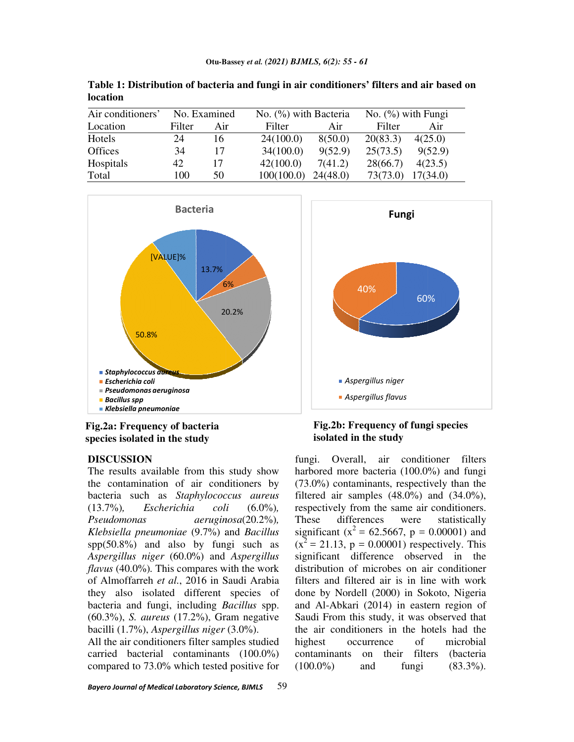| Air conditioners' | No. Examined |     | No. $(\% )$ with Bacteria |          | No. $(\% )$ with Fungi |          |
|-------------------|--------------|-----|---------------------------|----------|------------------------|----------|
| Location          | Filter       | Air | Filter                    | Air      | Filter                 | Air      |
| Hotels            | 24           | 16  | 24(100.0)                 | 8(50.0)  | 20(83.3)               | 4(25.0)  |
| <b>Offices</b>    | 34           | 17  | 34(100.0)                 | 9(52.9)  | 25(73.5)               | 9(52.9)  |
| Hospitals         | 42           | 17  | 42(100.0)                 | 7(41.2)  | 28(66.7)               | 4(23.5)  |
| Total             | 100          | 50  | 100(100.0)                | 24(48.0) | 73(73.0)               | 17(34.0) |

**Table 1: Distribution of bacteria and fungi in air conditioners' filters and air based on based location**



**Fig.2a: Frequency of bacteria species isolated in the study** 

## **DISCUSSION**

The results available from this study show The results available from this study show<br>the contamination of air conditioners by bacteria such as *Staphylococcus aureus Staphylococcus* (13.7%)*, Escherichia coli Pseudomonas Klebsiella pneumoniae* (9.7%) and *Bacillus*  spp(50.8%) and also by fungi such as spp(50.8%) and also by fungi such as *Aspergillus niger* (60.0%) and *Aspergillus flavus* (40.0%)*.* This compares with the work of Almoffarreh *et al.*, 2016 in Saudi Arabia they also isolated different species of bacteria and fungi, including *Bacillus* (60.3%), *S. aureus* (17.2%), Gram negative (60.3%), *S. aureus* (17.2%), Gram nega<br>bacilli (1.7%), *Aspergillus niger* (3.0%).  $(6.0\%)$ (20.2%)*,*  ompares with the work<br>2016 in Saudi Arabia<br>different species of<br>cluding *Bacillus* spp.

All the air conditioners filter samples studied carried bacterial contaminants (100.0%) compared to 73.0% which tested positive for



# **Fig.2b: Frequency of fungi species isolated in the study**

fungi. Overall, air conditioner filters<br>of air conditioners by harbored more bacteria (100.0%) and fungi<br>of air conditioners by (73.0%) contaminants, respectively than the<br>*Staphylococcus aureus* filtered air samples (48. harbored more bacteria (100.0%) and fungi  $(73.0\%)$  contaminants, respectively than the filtered air samples  $(48.0\%)$  and  $(34.0\%)$ , respectively from the same air conditioners. These differences were statistically significant ( $x^2 = 62.5667$ , p = 0.00001) and  $(x^2 = 21.13, p = 0.00001)$  respectively. This significant difference observed in the distribution of microbes on air conditioner filters and filtered air is in line with work done by Nordell (2000) in Sokoto, Nigeria and Al-Abkari (2014) in eastern region of Saudi From this study, it was observed that the air conditioners in the hotels had t highest occurrence of microbial contaminants on their filters (bacteria (100.0%) and fungi (83.3%). air samples (48.0%) and (34.0%),<br>vely from the same air conditioners.<br>differences were statistically<br>nt ( $x^2$  = 62.5667, p = 0.00001) and<br>13, p = 0.00001) respectively. This stribution of microbes on air conditioner<br>Iters and filtered air is in line with work<br>Done by Nordell (2000) in Sokoto, Nigeria<br>Ind Al-Abkari (2014) in eastern region of<br>audi From this study, it was observed that<br>e air con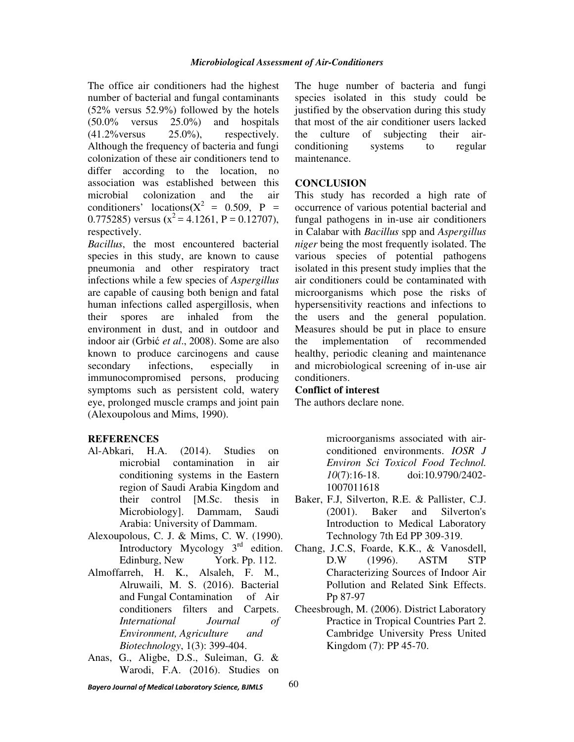The office air conditioners had the highest number of bacterial and fungal contaminants (52% versus 52.9%) followed by the hotels (50.0% versus 25.0%) and hospitals  $(41.2\% \text{versus} \qquad 25.0\%),$  respectively. Although the frequency of bacteria and fungi colonization of these air conditioners tend to differ according to the location, no association was established between this microbial colonization and the air conditioners' locations $(X^2 = 0.509, P =$ 0.775285) versus  $(x^2 = 4.1261, P = 0.12707)$ , respectively.

*Bacillus*, the most encountered bacterial species in this study, are known to cause pneumonia and other respiratory tract infections while a few species of *Aspergillus* are capable of causing both benign and fatal human infections called aspergillosis, when their spores are inhaled from the environment in dust, and in outdoor and indoor air (Grbić *et al*., 2008). Some are also known to produce carcinogens and cause secondary infections, especially in immunocompromised persons, producing symptoms such as persistent cold, watery eye, prolonged muscle cramps and joint pain (Alexoupolous and Mims, 1990).

## **REFERENCES**

- Al-Abkari, H.A. (2014). Studies on microbial contamination in air conditioning systems in the Eastern region of Saudi Arabia Kingdom and their control [M.Sc. thesis in Microbiology]. Dammam, Saudi Arabia: University of Dammam.
- Alexoupolous, C. J. & Mims, C. W. (1990). Introductory Mycology  $3<sup>rd</sup>$  edition. Edinburg, New York. Pp. 112.
- Almoffarreh, H. K., Alsaleh, F. M., Alruwaili, M. S. (2016). Bacterial and Fungal Contamination of Air conditioners filters and Carpets. *International Journal of Environment, Agriculture and Biotechnology*, 1(3): 399-404.
- Anas, G., Aligbe, D.S., Suleiman, G. & Warodi, F.A. (2016). Studies on

The huge number of bacteria and fungi species isolated in this study could be justified by the observation during this study that most of the air conditioner users lacked the culture of subjecting their airconditioning systems to regular maintenance.

#### **CONCLUSION**

This study has recorded a high rate of occurrence of various potential bacterial and fungal pathogens in in-use air conditioners in Calabar with *Bacillus* spp and *Aspergillus niger* being the most frequently isolated. The various species of potential pathogens isolated in this present study implies that the air conditioners could be contaminated with microorganisms which pose the risks of hypersensitivity reactions and infections to the users and the general population. Measures should be put in place to ensure the implementation of recommended healthy, periodic cleaning and maintenance and microbiological screening of in-use air conditioners.

#### **Conflict of interest**

The authors declare none.

microorganisms associated with airconditioned environments. *IOSR J Environ Sci Toxicol Food Technol. 10*(7):16-18. doi:10.9790/2402- 1007011618

- Baker, F.J, Silverton, R.E. & Pallister, C.J. (2001). Baker and Silverton's Introduction to Medical Laboratory Technology 7th Ed PP 309-319.
- Chang, J.C.S, Foarde, K.K., & Vanosdell, D.W (1996). ASTM STP Characterizing Sources of Indoor Air Pollution and Related Sink Effects. Pp 87-97
- Cheesbrough, M. (2006). District Laboratory Practice in Tropical Countries Part 2. Cambridge University Press United Kingdom (7): PP 45-70.

*Bayero Journal of Medical Laboratory Science, BJMLS*